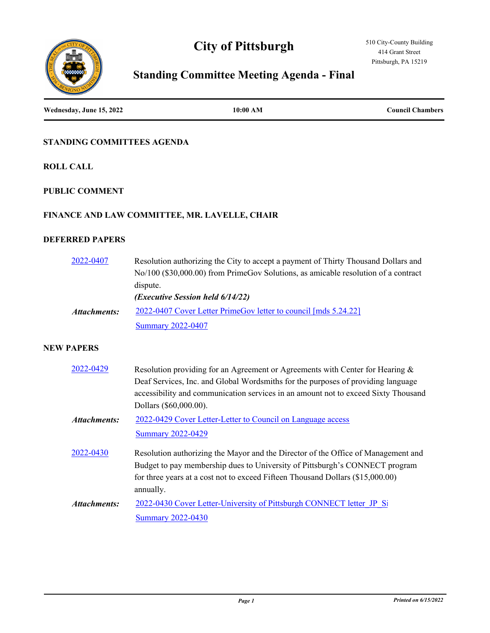# **City of Pittsburgh**





# **Standing Committee Meeting Agenda - Final**

**Wednesday, June 15, 2022 10:00 AM Council Chambers**

# **STANDING COMMITTEES AGENDA**

**ROLL CALL**

# **PUBLIC COMMENT**

# **FINANCE AND LAW COMMITTEE, MR. LAVELLE, CHAIR**

# **DEFERRED PAPERS**

| 2022-0407    | Resolution authorizing the City to accept a payment of Thirty Thousand Dollars and<br>No/100 (\$30,000.00) from PrimeGov Solutions, as amicable resolution of a contract |
|--------------|--------------------------------------------------------------------------------------------------------------------------------------------------------------------------|
|              | dispute.                                                                                                                                                                 |
|              | ( <i>Executive Session held 6/14/22</i> )                                                                                                                                |
| Attachments: | 2022-0407 Cover Letter PrimeGov letter to council [mds 5.24.22]                                                                                                          |
|              | <b>Summary 2022-0407</b>                                                                                                                                                 |

# **NEW PAPERS**

| 2022-0429    | Resolution providing for an Agreement or Agreements with Center for Hearing &      |
|--------------|------------------------------------------------------------------------------------|
|              | Deaf Services, Inc. and Global Wordsmiths for the purposes of providing language   |
|              | accessibility and communication services in an amount not to exceed Sixty Thousand |
|              | Dollars (\$60,000.00).                                                             |
| Attachments: | 2022-0429 Cover Letter-Letter to Council on Language access                        |
|              | <b>Summary 2022-0429</b>                                                           |
| 2022-0430    | Resolution authorizing the Mayor and the Director of the Office of Management and  |
|              | Budget to pay membership dues to University of Pittsburgh's CONNECT program        |
|              | for three years at a cost not to exceed Fifteen Thousand Dollars (\$15,000.00)     |
|              | annually.                                                                          |
| Attachments: | 2022-0430 Cover Letter-University of Pittsburgh CONNECT letter JP Si               |
|              | <b>Summary 2022-0430</b>                                                           |
|              |                                                                                    |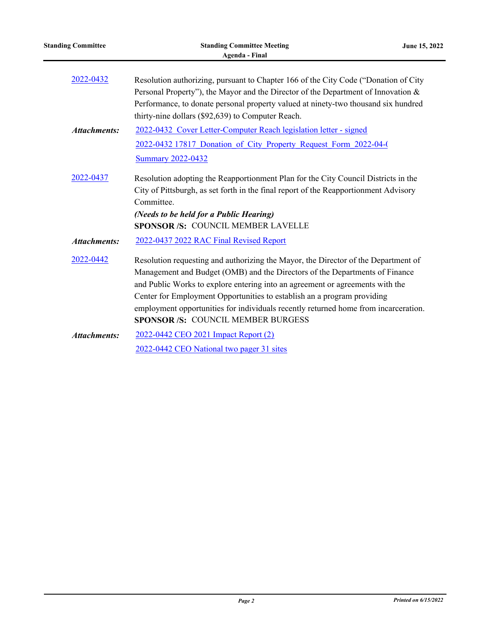| <b>Standing Committee</b> | <b>Standing Committee Meeting</b><br><b>Agenda - Final</b>                                                                                                                                                                                                                                                                                                                                                                                                 | June 15, 2022 |
|---------------------------|------------------------------------------------------------------------------------------------------------------------------------------------------------------------------------------------------------------------------------------------------------------------------------------------------------------------------------------------------------------------------------------------------------------------------------------------------------|---------------|
| 2022-0432                 | Resolution authorizing, pursuant to Chapter 166 of the City Code ("Donation of City<br>Personal Property"), the Mayor and the Director of the Department of Innovation &<br>Performance, to donate personal property valued at ninety-two thousand six hundred<br>thirty-nine dollars (\$92,639) to Computer Reach.                                                                                                                                        |               |
| <b>Attachments:</b>       | 2022-0432 Cover Letter-Computer Reach legislation letter - signed                                                                                                                                                                                                                                                                                                                                                                                          |               |
|                           | 2022-0432 17817 Donation of City Property Request Form 2022-04-0                                                                                                                                                                                                                                                                                                                                                                                           |               |
|                           | <b>Summary 2022-0432</b>                                                                                                                                                                                                                                                                                                                                                                                                                                   |               |
| 2022-0437                 | Resolution adopting the Reapportionment Plan for the City Council Districts in the<br>City of Pittsburgh, as set forth in the final report of the Reapportionment Advisory<br>Committee.<br>(Needs to be held for a Public Hearing)<br><b>SPONSOR/S: COUNCIL MEMBER LAVELLE</b>                                                                                                                                                                            |               |
| <b>Attachments:</b>       | 2022-0437 2022 RAC Final Revised Report                                                                                                                                                                                                                                                                                                                                                                                                                    |               |
| 2022-0442                 | Resolution requesting and authorizing the Mayor, the Director of the Department of<br>Management and Budget (OMB) and the Directors of the Departments of Finance<br>and Public Works to explore entering into an agreement or agreements with the<br>Center for Employment Opportunities to establish an a program providing<br>employment opportunities for individuals recently returned home from incarceration.<br>SPONSOR /S: COUNCIL MEMBER BURGESS |               |
| <b>Attachments:</b>       | 2022-0442 CEO 2021 Impact Report (2)<br>2022-0442 CEO National two pager 31 sites                                                                                                                                                                                                                                                                                                                                                                          |               |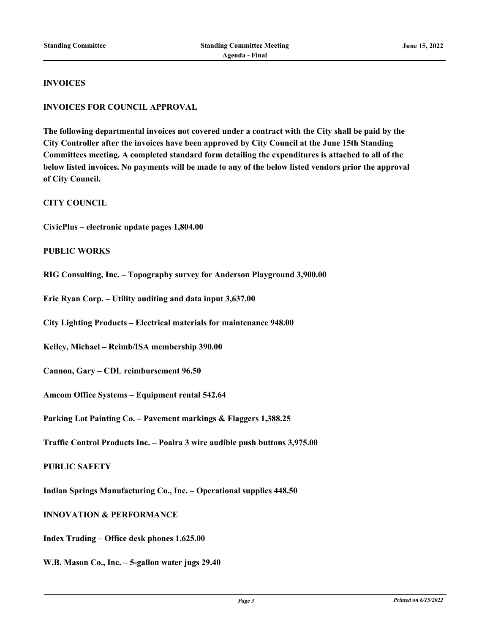#### **INVOICES**

#### **INVOICES FOR COUNCIL APPROVAL**

**The following departmental invoices not covered under a contract with the City shall be paid by the City Controller after the invoices have been approved by City Council at the June 15th Standing Committees meeting. A completed standard form detailing the expenditures is attached to all of the below listed invoices. No payments will be made to any of the below listed vendors prior the approval of City Council.**

**CITY COUNCIL**

**CivicPlus – electronic update pages 1,804.00**

#### **PUBLIC WORKS**

**RIG Consulting, Inc. – Topography survey for Anderson Playground 3,900.00**

**Eric Ryan Corp. – Utility auditing and data input 3,637.00**

**City Lighting Products – Electrical materials for maintenance 948.00**

**Kelley, Michael – Reimb/ISA membership 390.00**

**Cannon, Gary – CDL reimbursement 96.50**

**Amcom Office Systems – Equipment rental 542.64**

**Parking Lot Painting Co. – Pavement markings & Flaggers 1,388.25**

**Traffic Control Products Inc. – Poalra 3 wire audible push buttons 3,975.00**

# **PUBLIC SAFETY**

**Indian Springs Manufacturing Co., Inc. – Operational supplies 448.50**

# **INNOVATION & PERFORMANCE**

**Index Trading – Office desk phones 1,625.00**

**W.B. Mason Co., Inc. – 5-gallon water jugs 29.40**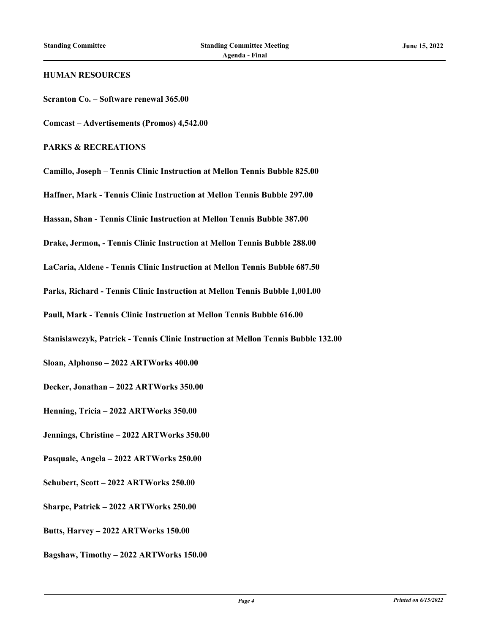#### **HUMAN RESOURCES**

**Scranton Co. – Software renewal 365.00**

**Comcast – Advertisements (Promos) 4,542.00**

## **PARKS & RECREATIONS**

**Camillo, Joseph – Tennis Clinic Instruction at Mellon Tennis Bubble 825.00**

**Haffner, Mark - Tennis Clinic Instruction at Mellon Tennis Bubble 297.00**

**Hassan, Shan - Tennis Clinic Instruction at Mellon Tennis Bubble 387.00**

**Drake, Jermon, - Tennis Clinic Instruction at Mellon Tennis Bubble 288.00**

**LaCaria, Aldene - Tennis Clinic Instruction at Mellon Tennis Bubble 687.50**

**Parks, Richard - Tennis Clinic Instruction at Mellon Tennis Bubble 1,001.00**

**Paull, Mark - Tennis Clinic Instruction at Mellon Tennis Bubble 616.00**

**Stanislawczyk, Patrick - Tennis Clinic Instruction at Mellon Tennis Bubble 132.00**

**Sloan, Alphonso – 2022 ARTWorks 400.00**

**Decker, Jonathan – 2022 ARTWorks 350.00**

**Henning, Tricia – 2022 ARTWorks 350.00**

**Jennings, Christine – 2022 ARTWorks 350.00**

**Pasquale, Angela – 2022 ARTWorks 250.00**

**Schubert, Scott – 2022 ARTWorks 250.00**

**Sharpe, Patrick – 2022 ARTWorks 250.00**

**Butts, Harvey – 2022 ARTWorks 150.00**

**Bagshaw, Timothy – 2022 ARTWorks 150.00**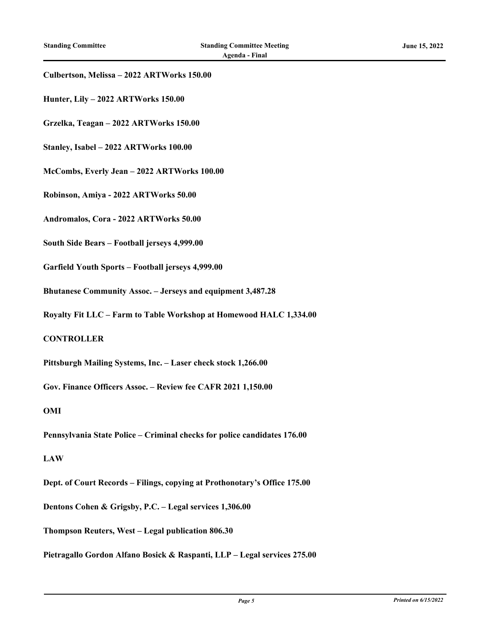# **Culbertson, Melissa – 2022 ARTWorks 150.00**

- **Hunter, Lily 2022 ARTWorks 150.00**
- **Grzelka, Teagan 2022 ARTWorks 150.00**
- **Stanley, Isabel 2022 ARTWorks 100.00**
- **McCombs, Everly Jean 2022 ARTWorks 100.00**
- **Robinson, Amiya 2022 ARTWorks 50.00**
- **Andromalos, Cora 2022 ARTWorks 50.00**
- **South Side Bears Football jerseys 4,999.00**
- **Garfield Youth Sports Football jerseys 4,999.00**
- **Bhutanese Community Assoc. Jerseys and equipment 3,487.28**
- **Royalty Fit LLC Farm to Table Workshop at Homewood HALC 1,334.00**

# **CONTROLLER**

- **Pittsburgh Mailing Systems, Inc. Laser check stock 1,266.00**
- **Gov. Finance Officers Assoc. Review fee CAFR 2021 1,150.00**

#### **OMI**

**Pennsylvania State Police – Criminal checks for police candidates 176.00**

#### **LAW**

- **Dept. of Court Records Filings, copying at Prothonotary's Office 175.00**
- **Dentons Cohen & Grigsby, P.C. Legal services 1,306.00**
- **Thompson Reuters, West Legal publication 806.30**
- **Pietragallo Gordon Alfano Bosick & Raspanti, LLP Legal services 275.00**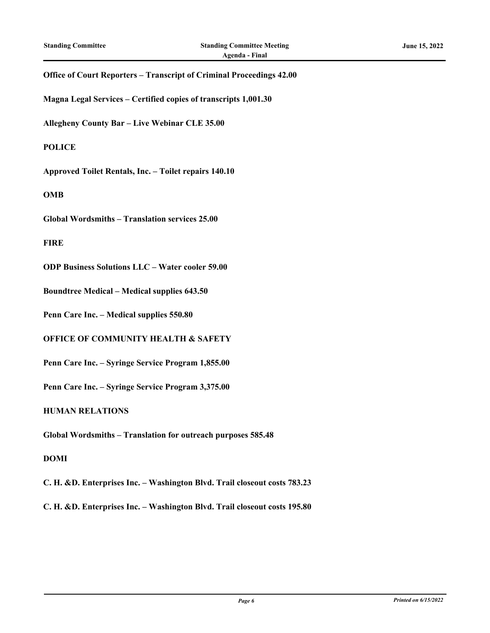# **Office of Court Reporters – Transcript of Criminal Proceedings 42.00**

**Magna Legal Services – Certified copies of transcripts 1,001.30**

**Allegheny County Bar – Live Webinar CLE 35.00**

# **POLICE**

**Approved Toilet Rentals, Inc. – Toilet repairs 140.10**

#### **OMB**

**Global Wordsmiths – Translation services 25.00**

#### **FIRE**

**ODP Business Solutions LLC – Water cooler 59.00**

**Boundtree Medical – Medical supplies 643.50**

**Penn Care Inc. – Medical supplies 550.80**

# **OFFICE OF COMMUNITY HEALTH & SAFETY**

**Penn Care Inc. – Syringe Service Program 1,855.00**

**Penn Care Inc. – Syringe Service Program 3,375.00**

#### **HUMAN RELATIONS**

**Global Wordsmiths – Translation for outreach purposes 585.48**

# **DOMI**

**C. H. &D. Enterprises Inc. – Washington Blvd. Trail closeout costs 783.23**

**C. H. &D. Enterprises Inc. – Washington Blvd. Trail closeout costs 195.80**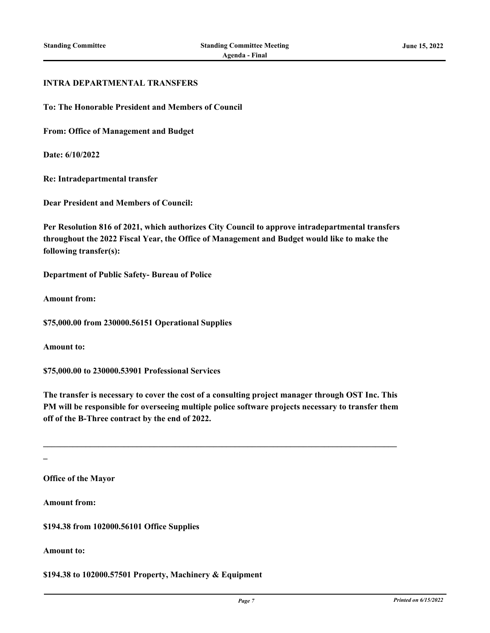#### **INTRA DEPARTMENTAL TRANSFERS**

**To: The Honorable President and Members of Council**

**From: Office of Management and Budget**

**Date: 6/10/2022**

**Re: Intradepartmental transfer**

**Dear President and Members of Council:**

**Per Resolution 816 of 2021, which authorizes City Council to approve intradepartmental transfers throughout the 2022 Fiscal Year, the Office of Management and Budget would like to make the following transfer(s):**

**Department of Public Safety- Bureau of Police**

**Amount from:**

**\$75,000.00 from 230000.56151 Operational Supplies**

**Amount to:**

**\$75,000.00 to 230000.53901 Professional Services**

**The transfer is necessary to cover the cost of a consulting project manager through OST Inc. This PM will be responsible for overseeing multiple police software projects necessary to transfer them off of the B-Three contract by the end of 2022.**

**\_\_\_\_\_\_\_\_\_\_\_\_\_\_\_\_\_\_\_\_\_\_\_\_\_\_\_\_\_\_\_\_\_\_\_\_\_\_\_\_\_\_\_\_\_\_\_\_\_\_\_\_\_\_\_\_\_\_\_\_\_\_\_\_\_\_\_\_\_\_\_\_\_\_\_\_\_\_\_\_\_\_\_**

**\_**

**Office of the Mayor**

**Amount from:**

**\$194.38 from 102000.56101 Office Supplies**

**Amount to:**

**\$194.38 to 102000.57501 Property, Machinery & Equipment**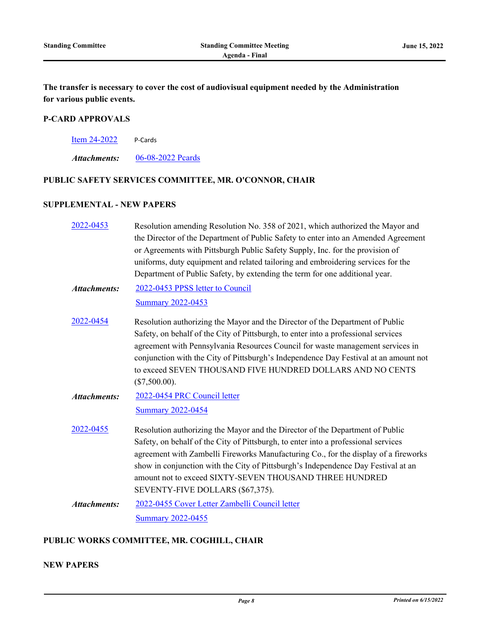**The transfer is necessary to cover the cost of audiovisual equipment needed by the Administration for various public events.**

# **P-CARD APPROVALS**

[Item 24-2022](http://pittsburgh.legistar.com/gateway.aspx?m=l&id=/matter.aspx?key=27861) P-Cards

*Attachments:* [06-08-2022 Pcards](http://pittsburgh.legistar.com/gateway.aspx?M=F&ID=28b9a3c5-852f-4d91-b3cf-c33f8be24e60.xlsx)

# **PUBLIC SAFETY SERVICES COMMITTEE, MR. O'CONNOR, CHAIR**

#### **SUPPLEMENTAL - NEW PAPERS**

[2022-0453](http://pittsburgh.legistar.com/gateway.aspx?m=l&id=/matter.aspx?key=27848) Resolution amending Resolution No. 358 of 2021, which authorized the Mayor and the Director of the Department of Public Safety to enter into an Amended Agreement or Agreements with Pittsburgh Public Safety Supply, Inc. for the provision of uniforms, duty equipment and related tailoring and embroidering services for the Department of Public Safety, by extending the term for one additional year. [2022-0453 PPSS letter to Council](http://pittsburgh.legistar.com/gateway.aspx?M=F&ID=10c025fd-dd34-4555-a237-39535142064e.pdf) [Summary 2022-0453](http://pittsburgh.legistar.com/gateway.aspx?M=F&ID=083d2de0-c3bb-4f42-a368-536e02f85365.docx) *Attachments:* [2022-0454](http://pittsburgh.legistar.com/gateway.aspx?m=l&id=/matter.aspx?key=27849) Resolution authorizing the Mayor and the Director of the Department of Public Safety, on behalf of the City of Pittsburgh, to enter into a professional services agreement with Pennsylvania Resources Council for waste management services in conjunction with the City of Pittsburgh's Independence Day Festival at an amount not to exceed SEVEN THOUSAND FIVE HUNDRED DOLLARS AND NO CENTS (\$7,500.00). [2022-0454 PRC Council letter](http://pittsburgh.legistar.com/gateway.aspx?M=F&ID=d014400f-8022-41c3-a392-e575dae499c5.pdf) [Summary 2022-0454](http://pittsburgh.legistar.com/gateway.aspx?M=F&ID=ed8c19fa-d17d-4695-919d-7c349f787060.docx) *Attachments:* [2022-0455](http://pittsburgh.legistar.com/gateway.aspx?m=l&id=/matter.aspx?key=27850) Resolution authorizing the Mayor and the Director of the Department of Public Safety, on behalf of the City of Pittsburgh, to enter into a professional services agreement with Zambelli Fireworks Manufacturing Co., for the display of a fireworks show in conjunction with the City of Pittsburgh's Independence Day Festival at an amount not to exceed SIXTY-SEVEN THOUSAND THREE HUNDRED SEVENTY-FIVE DOLLARS (\$67,375). [2022-0455 Cover Letter Zambelli Council letter](http://pittsburgh.legistar.com/gateway.aspx?M=F&ID=01abdca1-579a-4877-bf3e-8362a1931ef3.pdf) [Summary 2022-0455](http://pittsburgh.legistar.com/gateway.aspx?M=F&ID=5bd92be5-9348-4043-9f22-08da19a9e710.docx) *Attachments:*

### **PUBLIC WORKS COMMITTEE, MR. COGHILL, CHAIR**

# **NEW PAPERS**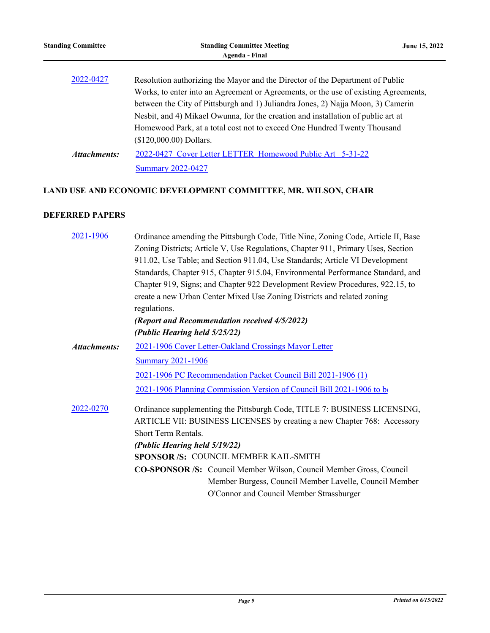| <b>Standing Committee</b> | <b>Standing Committee Meeting</b><br>Agenda - Final                                                                                                                                                                                                                                                                                          | June 15, 2022 |
|---------------------------|----------------------------------------------------------------------------------------------------------------------------------------------------------------------------------------------------------------------------------------------------------------------------------------------------------------------------------------------|---------------|
| 2022-0427                 | Resolution authorizing the Mayor and the Director of the Department of Public<br>Works, to enter into an Agreement or Agreements, or the use of existing Agreements,<br>between the City of Pittsburgh and 1) Juliandra Jones, 2) Najja Moon, 3) Camerin<br>Nesbit, and 4) Mikael Owunna, for the creation and installation of public art at |               |
| Attachments:              | Homewood Park, at a total cost not to exceed One Hundred Twenty Thousand<br>$($120,000.00)$ Dollars.<br>2022-0427 Cover Letter LETTER Homewood Public Art 5-31-22<br><b>Summary 2022-0427</b>                                                                                                                                                |               |

# **LAND USE AND ECONOMIC DEVELOPMENT COMMITTEE, MR. WILSON, CHAIR**

# **DEFERRED PAPERS**

| 2021-1906    | Ordinance amending the Pittsburgh Code, Title Nine, Zoning Code, Article II, Base |
|--------------|-----------------------------------------------------------------------------------|
|              | Zoning Districts; Article V, Use Regulations, Chapter 911, Primary Uses, Section  |
|              | 911.02, Use Table; and Section 911.04, Use Standards; Article VI Development      |
|              | Standards, Chapter 915, Chapter 915.04, Environmental Performance Standard, and   |
|              | Chapter 919, Signs; and Chapter 922 Development Review Procedures, 922.15, to     |
|              | create a new Urban Center Mixed Use Zoning Districts and related zoning           |
|              | regulations.                                                                      |
|              | (Report and Recommendation received 4/5/2022)                                     |
|              | (Public Hearing held 5/25/22)                                                     |
| Attachments: | 2021-1906 Cover Letter-Oakland Crossings Mayor Letter                             |
|              | <b>Summary 2021-1906</b>                                                          |
|              | 2021-1906 PC Recommendation Packet Council Bill 2021-1906 (1)                     |
|              | 2021-1906 Planning Commission Version of Council Bill 2021-1906 to be             |
| 2022-0270    | Ordinance supplementing the Pittsburgh Code, TITLE 7: BUSINESS LICENSING,         |
|              | ARTICLE VII: BUSINESS LICENSES by creating a new Chapter 768: Accessory           |
|              | Short Term Rentals.                                                               |
|              | (Public Hearing held 5/19/22)                                                     |
|              | SPONSOR /S: COUNCIL MEMBER KAIL-SMITH                                             |
|              | <b>CO-SPONSOR/S:</b> Council Member Wilson, Council Member Gross, Council         |
|              | Member Burgess, Council Member Lavelle, Council Member                            |
|              | O'Connor and Council Member Strassburger                                          |